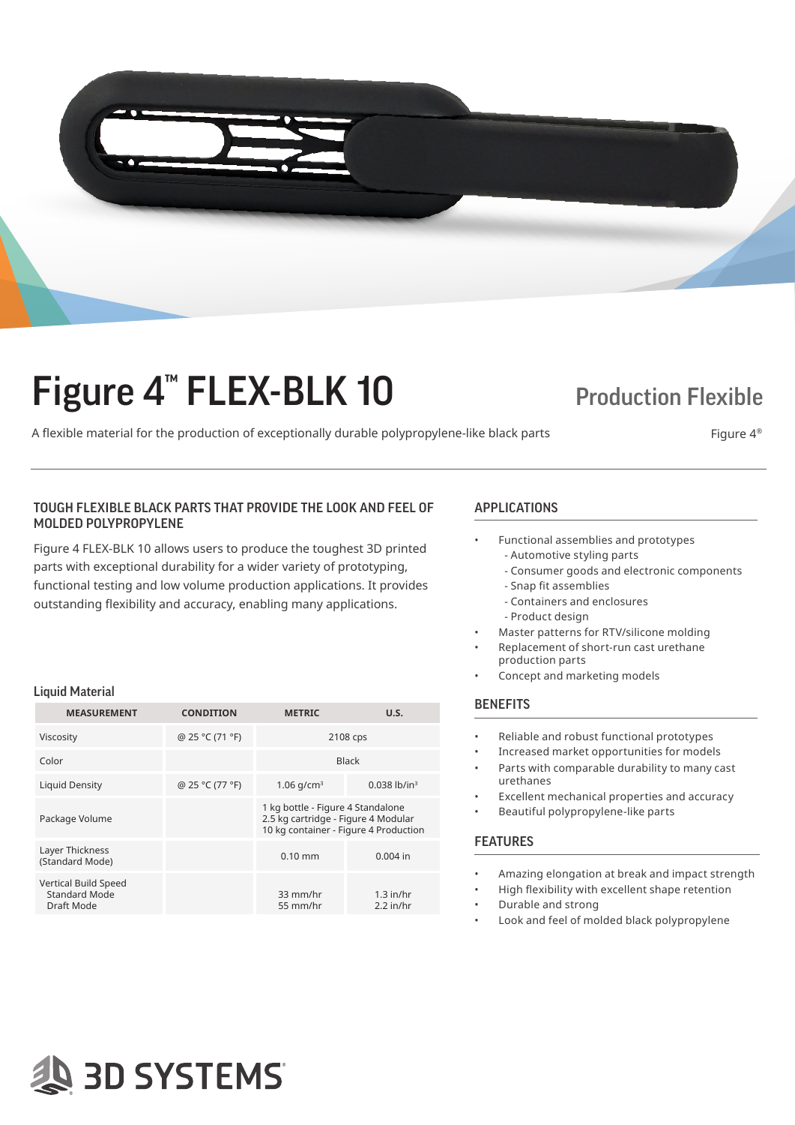

# Figure 4<sup>™</sup> FLEX-BLK 10 Production Flexible

A flexible material for the production of exceptionally durable polypropylene-like black parts Figure 4<sup>®</sup>

## TOUGH FLEXIBLE BLACK PARTS THAT PROVIDE THE LOOK AND FEEL OF APPLICATIONS MOLDED POLYPROPYLENE

Figure 4 FLEX-BLK 10 allows users to produce the toughest 3D printed parts with exceptional durability for a wider variety of prototyping, functional testing and low volume production applications. It provides outstanding flexibility and accuracy, enabling many applications.

#### Liquid Material

| <b>MEASUREMENT</b>                                         | <b>CONDITION</b> | <b>METRIC</b>                                                                                                     | U.S.                       |
|------------------------------------------------------------|------------------|-------------------------------------------------------------------------------------------------------------------|----------------------------|
| Viscosity                                                  | @ 25 °C (71 °F)  | 2108 cps                                                                                                          |                            |
| Color                                                      |                  | <b>Black</b>                                                                                                      |                            |
| <b>Liquid Density</b>                                      | @ 25 °C (77 °F)  | 1.06 $q/cm^3$                                                                                                     | $0.038$ lb/in <sup>3</sup> |
| Package Volume                                             |                  | 1 kg bottle - Figure 4 Standalone<br>2.5 kg cartridge - Figure 4 Modular<br>10 kg container - Figure 4 Production |                            |
| Layer Thickness<br>(Standard Mode)                         |                  | $0.10$ mm                                                                                                         | $0.004$ in                 |
| Vertical Build Speed<br><b>Standard Mode</b><br>Draft Mode |                  | 33 mm/hr<br>55 mm/hr                                                                                              | $1.3$ in/hr<br>$2.2$ in/hr |

- Functional assemblies and prototypes - Automotive styling parts
	- Consumer goods and electronic components
	- Snap fit assemblies
	- Containers and enclosures
	- Product design
- Master patterns for RTV/silicone molding
- Replacement of short-run cast urethane production parts
- Concept and marketing models

#### **BENEFITS**

- Reliable and robust functional prototypes
- Increased market opportunities for models
- Parts with comparable durability to many cast urethanes
- Excellent mechanical properties and accuracy
- Beautiful polypropylene-like parts

### FEATURES

- Amazing elongation at break and impact strength
- High flexibility with excellent shape retention
- Durable and strong
- Look and feel of molded black polypropylene